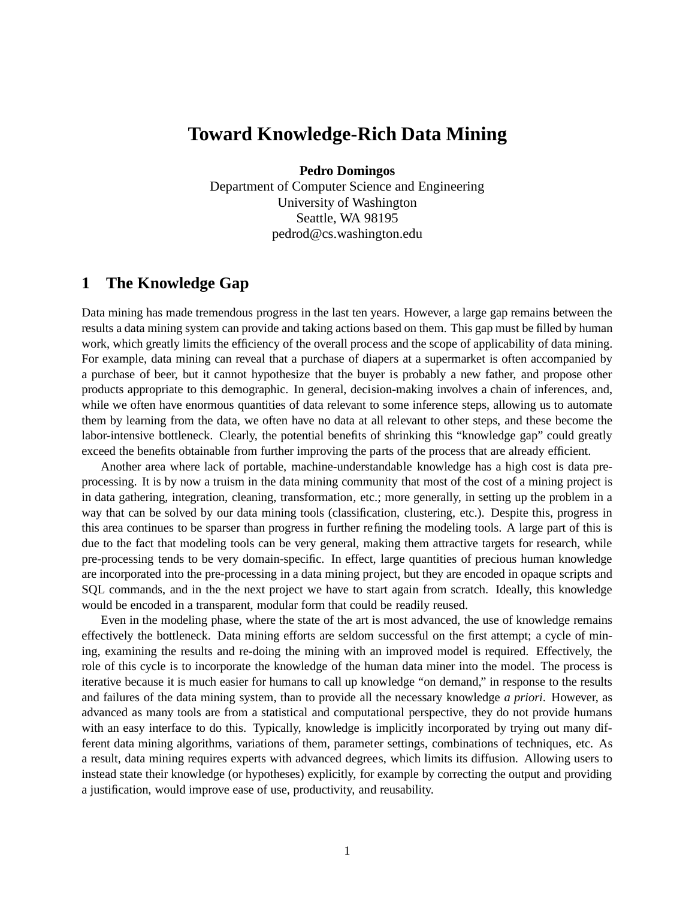# **Toward Knowledge-Rich Data Mining**

**Pedro Domingos**

Department of Computer Science and Engineering University of Washington Seattle, WA 98195 pedrod@cs.washington.edu

### **1 The Knowledge Gap**

Data mining has made tremendous progress in the last ten years. However, a large gap remains between the results a data mining system can provide and taking actions based on them. This gap must be filled by human work, which greatly limits the efficiency of the overall process and the scope of applicability of data mining. For example, data mining can reveal that a purchase of diapers at a supermarket is often accompanied by a purchase of beer, but it cannot hypothesize that the buyer is probably a new father, and propose other products appropriate to this demographic. In general, decision-making involves a chain of inferences, and, while we often have enormous quantities of data relevant to some inference steps, allowing us to automate them by learning from the data, we often have no data at all relevant to other steps, and these become the labor-intensive bottleneck. Clearly, the potential benefits of shrinking this "knowledge gap" could greatly exceed the benefits obtainable from further improving the parts of the process that are already efficient.

Another area where lack of portable, machine-understandable knowledge has a high cost is data preprocessing. It is by now a truism in the data mining community that most of the cost of a mining project is in data gathering, integration, cleaning, transformation, etc.; more generally, in setting up the problem in a way that can be solved by our data mining tools (classification, clustering, etc.). Despite this, progress in this area continues to be sparser than progress in further refining the modeling tools. A large part of this is due to the fact that modeling tools can be very general, making them attractive targets for research, while pre-processing tends to be very domain-specific. In effect, large quantities of precious human knowledge are incorporated into the pre-processing in a data mining project, but they are encoded in opaque scripts and SQL commands, and in the the next project we have to start again from scratch. Ideally, this knowledge would be encoded in a transparent, modular form that could be readily reused.

Even in the modeling phase, where the state of the art is most advanced, the use of knowledge remains effectively the bottleneck. Data mining efforts are seldom successful on the first attempt; a cycle of mining, examining the results and re-doing the mining with an improved model is required. Effectively, the role of this cycle is to incorporate the knowledge of the human data miner into the model. The process is iterative because it is much easier for humans to call up knowledge "on demand," in response to the results and failures of the data mining system, than to provide all the necessary knowledge *a priori*. However, as advanced as many tools are from a statistical and computational perspective, they do not provide humans with an easy interface to do this. Typically, knowledge is implicitly incorporated by trying out many different data mining algorithms, variations of them, parameter settings, combinations of techniques, etc. As a result, data mining requires experts with advanced degrees, which limits its diffusion. Allowing users to instead state their knowledge (or hypotheses) explicitly, for example by correcting the output and providing a justification, would improve ease of use, productivity, and reusability.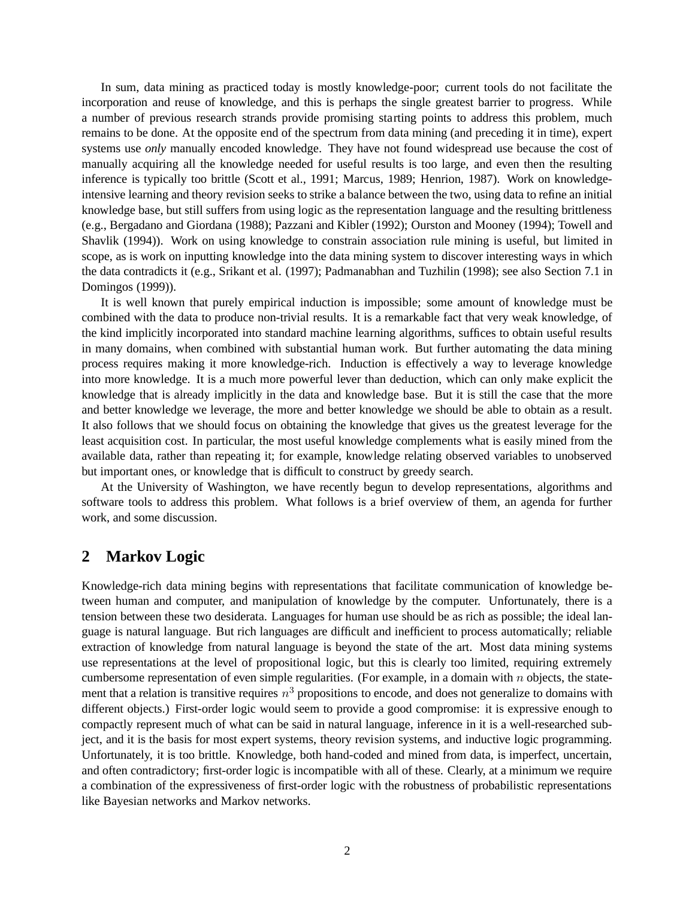In sum, data mining as practiced today is mostly knowledge-poor; current tools do not facilitate the incorporation and reuse of knowledge, and this is perhaps the single greatest barrier to progress. While a number of previous research strands provide promising starting points to address this problem, much remains to be done. At the opposite end of the spectrum from data mining (and preceding it in time), expert systems use *only* manually encoded knowledge. They have not found widespread use because the cost of manually acquiring all the knowledge needed for useful results is too large, and even then the resulting inference is typically too brittle (Scott et al., 1991; Marcus, 1989; Henrion, 1987). Work on knowledgeintensive learning and theory revision seeks to strike a balance between the two, using data to refine an initial knowledge base, but still suffers from using logic as the representation language and the resulting brittleness (e.g., Bergadano and Giordana (1988); Pazzani and Kibler (1992); Ourston and Mooney (1994); Towell and Shavlik (1994)). Work on using knowledge to constrain association rule mining is useful, but limited in scope, as is work on inputting knowledge into the data mining system to discover interesting ways in which the data contradicts it (e.g., Srikant et al. (1997); Padmanabhan and Tuzhilin (1998); see also Section 7.1 in Domingos (1999)).

It is well known that purely empirical induction is impossible; some amount of knowledge must be combined with the data to produce non-trivial results. It is a remarkable fact that very weak knowledge, of the kind implicitly incorporated into standard machine learning algorithms, suffices to obtain useful results in many domains, when combined with substantial human work. But further automating the data mining process requires making it more knowledge-rich. Induction is effectively a way to leverage knowledge into more knowledge. It is a much more powerful lever than deduction, which can only make explicit the knowledge that is already implicitly in the data and knowledge base. But it is still the case that the more and better knowledge we leverage, the more and better knowledge we should be able to obtain as a result. It also follows that we should focus on obtaining the knowledge that gives us the greatest leverage for the least acquisition cost. In particular, the most useful knowledge complements what is easily mined from the available data, rather than repeating it; for example, knowledge relating observed variables to unobserved but important ones, or knowledge that is difficult to construct by greedy search.

At the University of Washington, we have recently begun to develop representations, algorithms and software tools to address this problem. What follows is a brief overview of them, an agenda for further work, and some discussion.

#### **2 Markov Logic**

Knowledge-rich data mining begins with representations that facilitate communication of knowledge between human and computer, and manipulation of knowledge by the computer. Unfortunately, there is a tension between these two desiderata. Languages for human use should be as rich as possible; the ideal language is natural language. But rich languages are difficult and inefficient to process automatically; reliable extraction of knowledge from natural language is beyond the state of the art. Most data mining systems use representations at the level of propositional logic, but this is clearly too limited, requiring extremely cumbersome representation of even simple regularities. (For example, in a domain with  $n$  objects, the statement that a relation is transitive requires  $n^3$  propositions to encode, and does not generalize to domains with different objects.) First-order logic would seem to provide a good compromise: it is expressive enough to compactly represent much of what can be said in natural language, inference in it is a well-researched subject, and it is the basis for most expert systems, theory revision systems, and inductive logic programming. Unfortunately, it is too brittle. Knowledge, both hand-coded and mined from data, is imperfect, uncertain, and often contradictory; first-order logic is incompatible with all of these. Clearly, at a minimum we require a combination of the expressiveness of first-order logic with the robustness of probabilistic representations like Bayesian networks and Markov networks.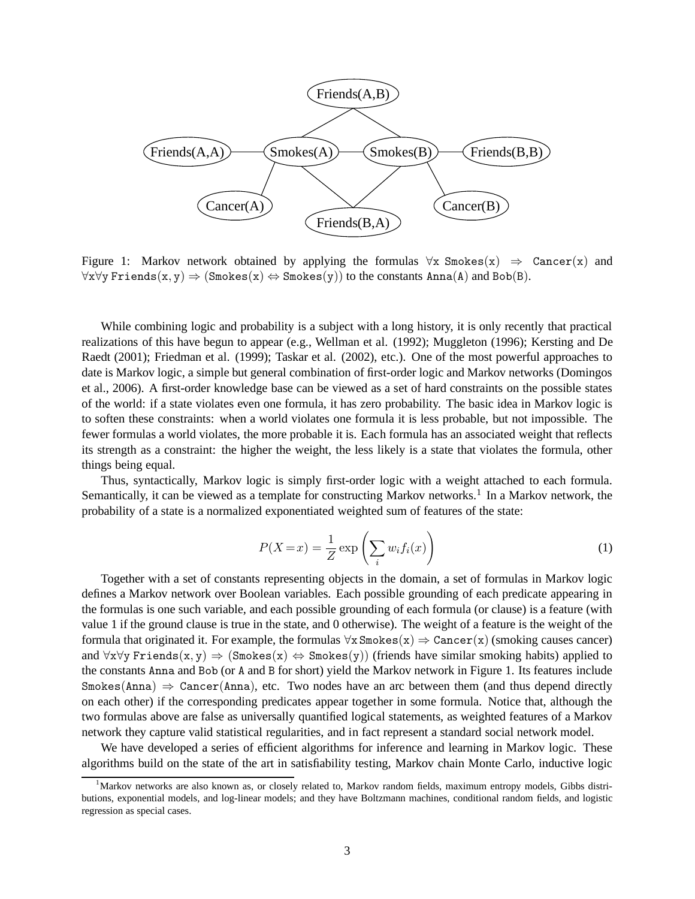

Figure 1: Markov network obtained by applying the formulas  $\forall x$  Smokes(x)  $\Rightarrow$  Cancer(x) and  $\forall x \forall y$  Friends $(x, y) \Rightarrow (\text{Smokes}(x) \Leftrightarrow \text{Smokes}(y))$  to the constants Anna(A) and Bob(B).

While combining logic and probability is a subject with a long history, it is only recently that practical realizations of this have begun to appear (e.g., Wellman et al. (1992); Muggleton (1996); Kersting and De Raedt (2001); Friedman et al. (1999); Taskar et al. (2002), etc.). One of the most powerful approaches to date is Markov logic, a simple but general combination of first-order logic and Markov networks (Domingos et al., 2006). A first-order knowledge base can be viewed as a set of hard constraints on the possible states of the world: if a state violates even one formula, it has zero probability. The basic idea in Markov logic is to soften these constraints: when a world violates one formula it is less probable, but not impossible. The fewer formulas a world violates, the more probable it is. Each formula has an associated weight that reflects its strength as a constraint: the higher the weight, the less likely is a state that violates the formula, other things being equal.

Thus, syntactically, Markov logic is simply first-order logic with a weight attached to each formula. Semantically, it can be viewed as a template for constructing Markov networks.<sup>1</sup> In a Markov network, the probability of a state is a normalized exponentiated weighted sum of features of the state:

$$
P(X=x) = \frac{1}{Z} \exp\left(\sum_{i} w_i f_i(x)\right)
$$
 (1)

Together with a set of constants representing objects in the domain, a set of formulas in Markov logic defines a Markov network over Boolean variables. Each possible grounding of each predicate appearing in the formulas is one such variable, and each possible grounding of each formula (or clause) is a feature (with value 1 if the ground clause is true in the state, and 0 otherwise). The weight of a feature is the weight of the formula that originated it. For example, the formulas  $\forall x$  Smokes $(x) \Rightarrow$  Cancer $(x)$  (smoking causes cancer) and  $\forall x \forall y$  Friends $(x, y) \Rightarrow (\text{Smokes}(x) \Leftrightarrow \text{Smokes}(y))$  (friends have similar smoking habits) applied to the constants Anna and Bob (or A and B for short) yield the Markov network in Figure 1. Its features include  $Smokes(Anna) \Rightarrow Cancer(Anna), etc. Two nodes have an arc between them (and thus depend directly$ on each other) if the corresponding predicates appear together in some formula. Notice that, although the two formulas above are false as universally quantified logical statements, as weighted features of a Markov network they capture valid statistical regularities, and in fact represent a standard social network model.

We have developed a series of efficient algorithms for inference and learning in Markov logic. These algorithms build on the state of the art in satisfiability testing, Markov chain Monte Carlo, inductive logic

<sup>1</sup>Markov networks are also known as, or closely related to, Markov random fields, maximum entropy models, Gibbs distributions, exponential models, and log-linear models; and they have Boltzmann machines, conditional random fields, and logistic regression as special cases.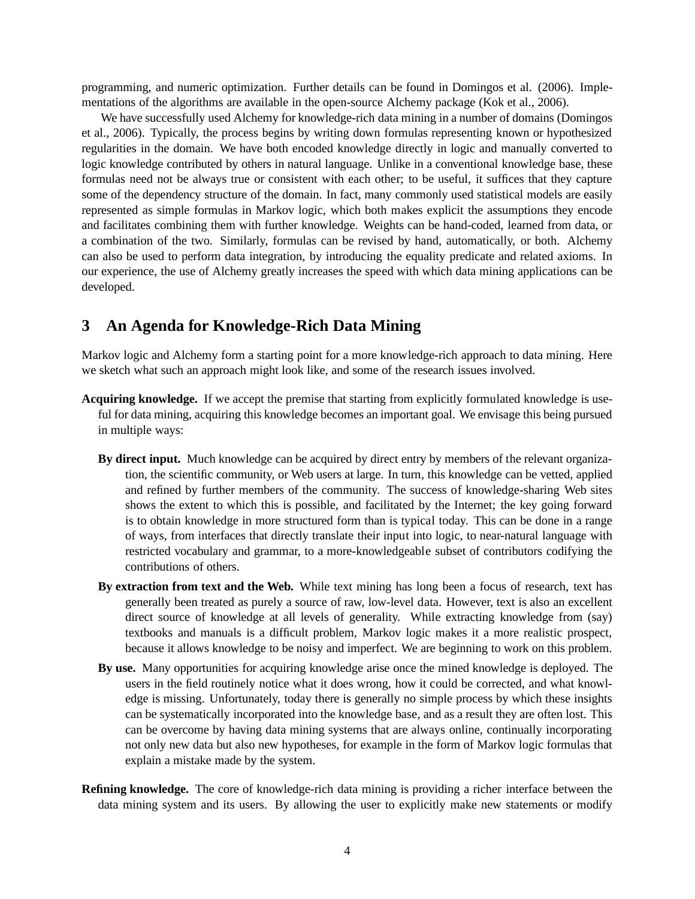programming, and numeric optimization. Further details can be found in Domingos et al. (2006). Implementations of the algorithms are available in the open-source Alchemy package (Kok et al., 2006).

We have successfully used Alchemy for knowledge-rich data mining in a number of domains (Domingos et al., 2006). Typically, the process begins by writing down formulas representing known or hypothesized regularities in the domain. We have both encoded knowledge directly in logic and manually converted to logic knowledge contributed by others in natural language. Unlike in a conventional knowledge base, these formulas need not be always true or consistent with each other; to be useful, it suffices that they capture some of the dependency structure of the domain. In fact, many commonly used statistical models are easily represented as simple formulas in Markov logic, which both makes explicit the assumptions they encode and facilitates combining them with further knowledge. Weights can be hand-coded, learned from data, or a combination of the two. Similarly, formulas can be revised by hand, automatically, or both. Alchemy can also be used to perform data integration, by introducing the equality predicate and related axioms. In our experience, the use of Alchemy greatly increases the speed with which data mining applications can be developed.

### **3 An Agenda for Knowledge-Rich Data Mining**

Markov logic and Alchemy form a starting point for a more knowledge-rich approach to data mining. Here we sketch what such an approach might look like, and some of the research issues involved.

- **Acquiring knowledge.** If we accept the premise that starting from explicitly formulated knowledge is useful for data mining, acquiring this knowledge becomes an important goal. We envisage this being pursued in multiple ways:
	- **By direct input.** Much knowledge can be acquired by direct entry by members of the relevant organization, the scientific community, or Web users at large. In turn, this knowledge can be vetted, applied and refined by further members of the community. The success of knowledge-sharing Web sites shows the extent to which this is possible, and facilitated by the Internet; the key going forward is to obtain knowledge in more structured form than is typical today. This can be done in a range of ways, from interfaces that directly translate their input into logic, to near-natural language with restricted vocabulary and grammar, to a more-knowledgeable subset of contributors codifying the contributions of others.
	- **By extraction from text and the Web.** While text mining has long been a focus of research, text has generally been treated as purely a source of raw, low-level data. However, text is also an excellent direct source of knowledge at all levels of generality. While extracting knowledge from (say) textbooks and manuals is a difficult problem, Markov logic makes it a more realistic prospect, because it allows knowledge to be noisy and imperfect. We are beginning to work on this problem.
	- **By use.** Many opportunities for acquiring knowledge arise once the mined knowledge is deployed. The users in the field routinely notice what it does wrong, how it could be corrected, and what knowledge is missing. Unfortunately, today there is generally no simple process by which these insights can be systematically incorporated into the knowledge base, and as a result they are often lost. This can be overcome by having data mining systems that are always online, continually incorporating not only new data but also new hypotheses, for example in the form of Markov logic formulas that explain a mistake made by the system.
- **Refining knowledge.** The core of knowledge-rich data mining is providing a richer interface between the data mining system and its users. By allowing the user to explicitly make new statements or modify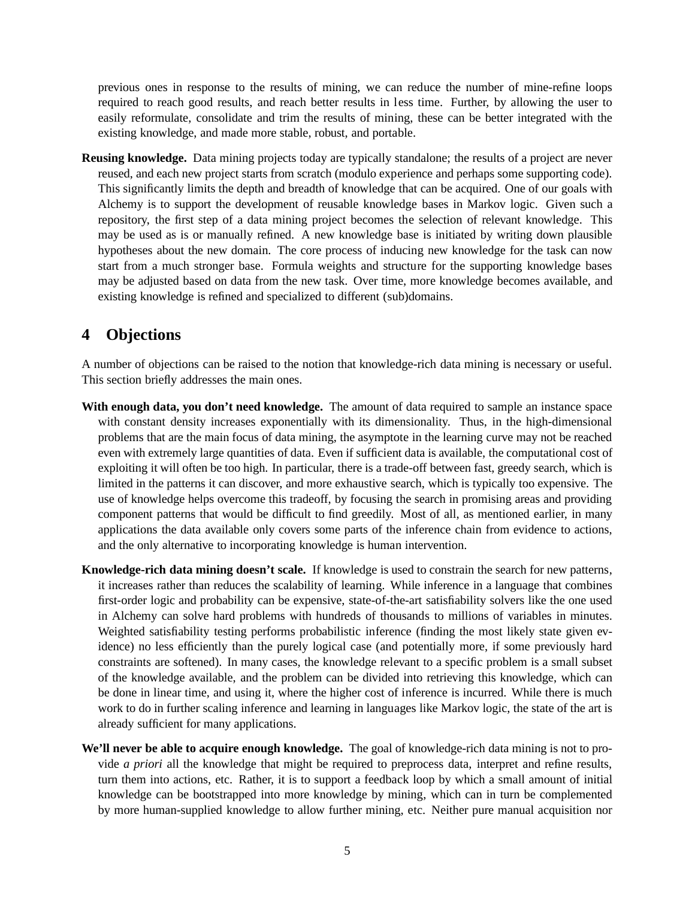previous ones in response to the results of mining, we can reduce the number of mine-refine loops required to reach good results, and reach better results in less time. Further, by allowing the user to easily reformulate, consolidate and trim the results of mining, these can be better integrated with the existing knowledge, and made more stable, robust, and portable.

**Reusing knowledge.** Data mining projects today are typically standalone; the results of a project are never reused, and each new project starts from scratch (modulo experience and perhaps some supporting code). This significantly limits the depth and breadth of knowledge that can be acquired. One of our goals with Alchemy is to support the development of reusable knowledge bases in Markov logic. Given such a repository, the first step of a data mining project becomes the selection of relevant knowledge. This may be used as is or manually refined. A new knowledge base is initiated by writing down plausible hypotheses about the new domain. The core process of inducing new knowledge for the task can now start from a much stronger base. Formula weights and structure for the supporting knowledge bases may be adjusted based on data from the new task. Over time, more knowledge becomes available, and existing knowledge is refined and specialized to different (sub)domains.

## **4 Objections**

A number of objections can be raised to the notion that knowledge-rich data mining is necessary or useful. This section briefly addresses the main ones.

- **With enough data, you don't need knowledge.** The amount of data required to sample an instance space with constant density increases exponentially with its dimensionality. Thus, in the high-dimensional problems that are the main focus of data mining, the asymptote in the learning curve may not be reached even with extremely large quantities of data. Even if sufficient data is available, the computational cost of exploiting it will often be too high. In particular, there is a trade-off between fast, greedy search, which is limited in the patterns it can discover, and more exhaustive search, which is typically too expensive. The use of knowledge helps overcome this tradeoff, by focusing the search in promising areas and providing component patterns that would be difficult to find greedily. Most of all, as mentioned earlier, in many applications the data available only covers some parts of the inference chain from evidence to actions, and the only alternative to incorporating knowledge is human intervention.
- **Knowledge-rich data mining doesn't scale.** If knowledge is used to constrain the search for new patterns, it increases rather than reduces the scalability of learning. While inference in a language that combines first-order logic and probability can be expensive, state-of-the-art satisfiability solvers like the one used in Alchemy can solve hard problems with hundreds of thousands to millions of variables in minutes. Weighted satisfiability testing performs probabilistic inference (finding the most likely state given evidence) no less efficiently than the purely logical case (and potentially more, if some previously hard constraints are softened). In many cases, the knowledge relevant to a specific problem is a small subset of the knowledge available, and the problem can be divided into retrieving this knowledge, which can be done in linear time, and using it, where the higher cost of inference is incurred. While there is much work to do in further scaling inference and learning in languages like Markov logic, the state of the art is already sufficient for many applications.
- **We'll never be able to acquire enough knowledge.** The goal of knowledge-rich data mining is not to provide *a priori* all the knowledge that might be required to preprocess data, interpret and refine results, turn them into actions, etc. Rather, it is to support a feedback loop by which a small amount of initial knowledge can be bootstrapped into more knowledge by mining, which can in turn be complemented by more human-supplied knowledge to allow further mining, etc. Neither pure manual acquisition nor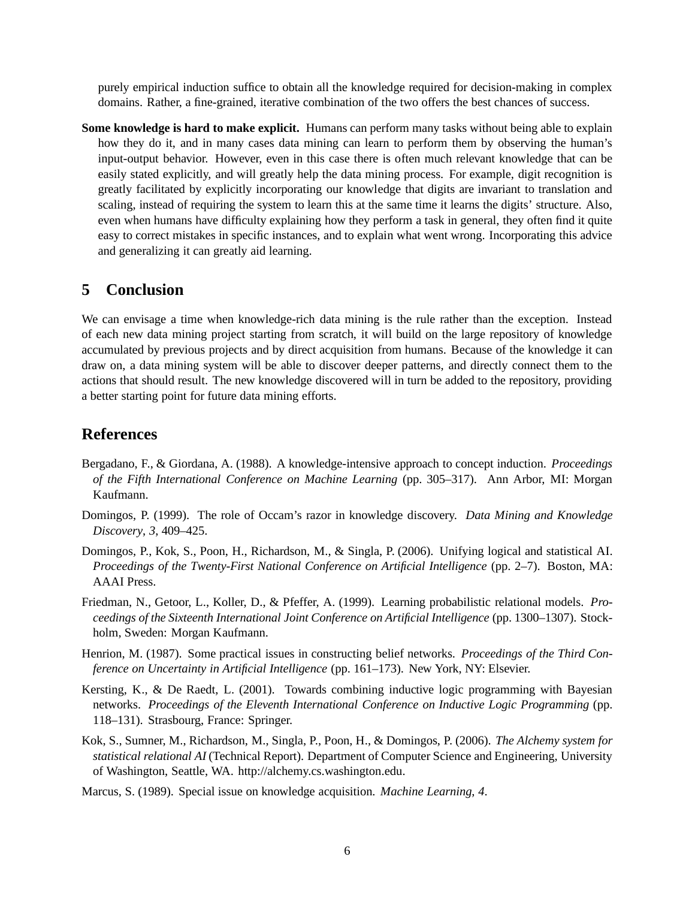purely empirical induction suffice to obtain all the knowledge required for decision-making in complex domains. Rather, a fine-grained, iterative combination of the two offers the best chances of success.

**Some knowledge is hard to make explicit.** Humans can perform many tasks without being able to explain how they do it, and in many cases data mining can learn to perform them by observing the human's input-output behavior. However, even in this case there is often much relevant knowledge that can be easily stated explicitly, and will greatly help the data mining process. For example, digit recognition is greatly facilitated by explicitly incorporating our knowledge that digits are invariant to translation and scaling, instead of requiring the system to learn this at the same time it learns the digits' structure. Also, even when humans have difficulty explaining how they perform a task in general, they often find it quite easy to correct mistakes in specific instances, and to explain what went wrong. Incorporating this advice and generalizing it can greatly aid learning.

### **5 Conclusion**

We can envisage a time when knowledge-rich data mining is the rule rather than the exception. Instead of each new data mining project starting from scratch, it will build on the large repository of knowledge accumulated by previous projects and by direct acquisition from humans. Because of the knowledge it can draw on, a data mining system will be able to discover deeper patterns, and directly connect them to the actions that should result. The new knowledge discovered will in turn be added to the repository, providing a better starting point for future data mining efforts.

#### **References**

- Bergadano, F., & Giordana, A. (1988). A knowledge-intensive approach to concept induction. *Proceedings of the Fifth International Conference on Machine Learning* (pp. 305–317). Ann Arbor, MI: Morgan Kaufmann.
- Domingos, P. (1999). The role of Occam's razor in knowledge discovery. *Data Mining and Knowledge Discovery*, *3*, 409–425.
- Domingos, P., Kok, S., Poon, H., Richardson, M., & Singla, P. (2006). Unifying logical and statistical AI. *Proceedings of the Twenty-First National Conference on Artificial Intelligence* (pp. 2–7). Boston, MA: AAAI Press.
- Friedman, N., Getoor, L., Koller, D., & Pfeffer, A. (1999). Learning probabilistic relational models. *Proceedings of the Sixteenth International Joint Conference on Artificial Intelligence* (pp. 1300–1307). Stockholm, Sweden: Morgan Kaufmann.
- Henrion, M. (1987). Some practical issues in constructing belief networks. *Proceedings of the Third Conference on Uncertainty in Artificial Intelligence* (pp. 161–173). New York, NY: Elsevier.
- Kersting, K., & De Raedt, L. (2001). Towards combining inductive logic programming with Bayesian networks. *Proceedings of the Eleventh International Conference on Inductive Logic Programming* (pp. 118–131). Strasbourg, France: Springer.
- Kok, S., Sumner, M., Richardson, M., Singla, P., Poon, H., & Domingos, P. (2006). *The Alchemy system for statistical relational AI* (Technical Report). Department of Computer Science and Engineering, University of Washington, Seattle, WA. http://alchemy.cs.washington.edu.
- Marcus, S. (1989). Special issue on knowledge acquisition. *Machine Learning*, *4*.